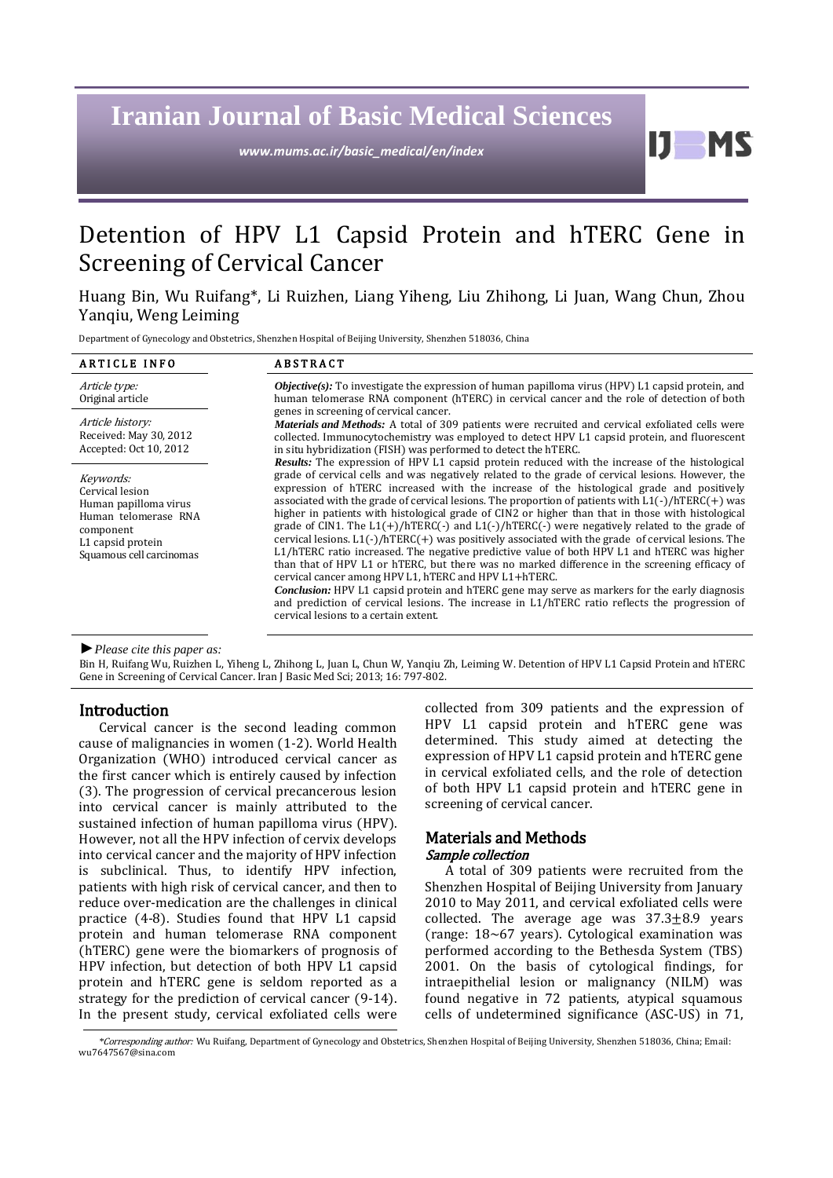# **Iranian Journal of Basic Medical Sciences**

*www.mums.ac.ir/basic\_medical/en/index*

H

## Detention of HPV L1 Capsid Protein and hTERC Gene in Screening of Cervical Cancer

Huang Bin, Wu Ruifang\*, Li Ruizhen, Liang Yiheng, Liu Zhihong, Li Juan, Wang Chun, Zhou Yanqiu, Weng Leiming

Department of Gynecology and Obstetrics, Shenzhen Hospital of Beijing University, Shenzhen 518036, China

| <b>ARTICLE INFO</b>                                                                                                                         | <b>ABSTRACT</b>                                                                                                                                                                                                                                                                                                                                                                                                                                                                                                                                                                                                                                                                                                                                                                                                                                                                                                                                                                                                                                                                                                                                                                                                                     |
|---------------------------------------------------------------------------------------------------------------------------------------------|-------------------------------------------------------------------------------------------------------------------------------------------------------------------------------------------------------------------------------------------------------------------------------------------------------------------------------------------------------------------------------------------------------------------------------------------------------------------------------------------------------------------------------------------------------------------------------------------------------------------------------------------------------------------------------------------------------------------------------------------------------------------------------------------------------------------------------------------------------------------------------------------------------------------------------------------------------------------------------------------------------------------------------------------------------------------------------------------------------------------------------------------------------------------------------------------------------------------------------------|
| Article type:<br>Original article                                                                                                           | <b><i>Objective(s)</i></b> : To investigate the expression of human papilloma virus (HPV) L1 capsid protein, and<br>human telomerase RNA component (hTERC) in cervical cancer and the role of detection of both                                                                                                                                                                                                                                                                                                                                                                                                                                                                                                                                                                                                                                                                                                                                                                                                                                                                                                                                                                                                                     |
| Article history:<br>Received: May 30, 2012<br>Accepted: Oct 10, 2012                                                                        | genes in screening of cervical cancer.<br><i>Materials and Methods:</i> A total of 309 patients were recruited and cervical exfoliated cells were<br>collected. Immunocytochemistry was employed to detect HPV L1 capsid protein, and fluorescent<br>in situ hybridization (FISH) was performed to detect the hTERC.                                                                                                                                                                                                                                                                                                                                                                                                                                                                                                                                                                                                                                                                                                                                                                                                                                                                                                                |
| Keywords:<br>Cervical lesion<br>Human papilloma virus<br>Human telomerase RNA<br>component<br>L1 capsid protein<br>Squamous cell carcinomas | <b>Results:</b> The expression of HPV L1 capsid protein reduced with the increase of the histological<br>grade of cervical cells and was negatively related to the grade of cervical lesions. However, the<br>expression of hTERC increased with the increase of the histological grade and positively<br>associated with the grade of cervical lesions. The proportion of patients with $L1(-)/hTERC(+)$ was<br>higher in patients with histological grade of CIN2 or higher than that in those with histological<br>grade of CIN1. The $L1(+)/hTERC(-)$ and $L1(-)/hTERC(-)$ were negatively related to the grade of<br>cervical lesions. $L1(-)/hTERC(+)$ was positively associated with the grade of cervical lesions. The<br>L1/hTERC ratio increased. The negative predictive value of both HPV L1 and hTERC was higher<br>than that of HPV L1 or hTERC, but there was no marked difference in the screening efficacy of<br>cervical cancer among HPV L1, hTERC and HPV L1+hTERC.<br>Conclusion: HPV L1 capsid protein and hTERC gene may serve as markers for the early diagnosis<br>and prediction of cervical lesions. The increase in L1/hTERC ratio reflects the progression of<br>cervical lesions to a certain extent. |

*►Please cite this paper as:*

Bin H, Ruifang Wu, Ruizhen L, Yiheng L, Zhihong L, Juan L, Chun W, Yanqiu Zh, Leiming W. Detention of HPV L1 Capsid Protein and hTERC Gene in Screening of Cervical Cancer. Iran J Basic Med Sci; 2013; 16: 797-802.

#### Introduction

Cervical cancer is the second leading common cause of malignancies in women (1-2). World Health Organization (WHO) introduced cervical cancer as the first cancer which is entirely caused by infection (3). The progression of cervical precancerous lesion into cervical cancer is mainly attributed to the sustained infection of human papilloma virus (HPV). However, not all the HPV infection of cervix develops into cervical cancer and the majority of HPV infection is subclinical. Thus, to identify HPV infection, patients with high risk of cervical cancer, and then to reduce over-medication are the challenges in clinical practice (4-8). Studies found that HPV L1 capsid protein and human telomerase RNA component (hTERC) gene were the biomarkers of prognosis of HPV infection, but detection of both HPV L1 capsid protein and hTERC gene is seldom reported as a strategy for the prediction of cervical cancer (9-14). In the present study, cervical exfoliated cells were collected from 309 patients and the expression of HPV L1 capsid protein and hTERC gene was determined. This study aimed at detecting the expression of HPV L1 capsid protein and hTERC gene in cervical exfoliated cells, and the role of detection of both HPV L1 capsid protein and hTERC gene in screening of cervical cancer.

#### Materials and Methods Sample collection

A total of 309 patients were recruited from the Shenzhen Hospital of Beijing University from January 2010 to May 2011, and cervical exfoliated cells were collected. The average age was  $37.3\pm8.9$  years (range: 18~67 years). Cytological examination was performed according to the Bethesda System (TBS) 2001. On the basis of cytological findings, for intraepithelial lesion or malignancy (NILM) was found negative in 72 patients, atypical squamous cells of undetermined significance (ASC-US) in 71,

*<sup>\*</sup>*Corresponding author: Wu Ruifang, Department of Gynecology and Obstetrics, Shenzhen Hospital of Beijing University, Shenzhen 518036, China; Email: [wu7647567@sina.com](mailto:wu7647567@sina.com)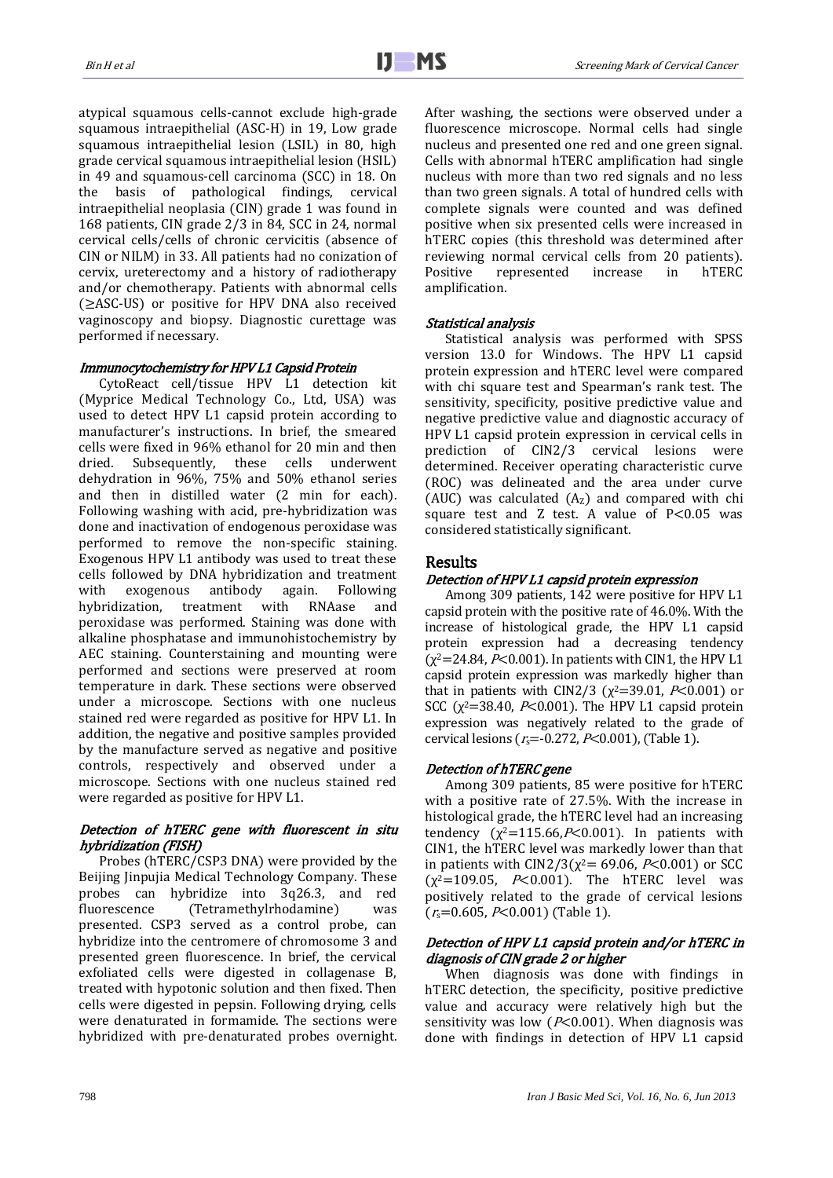atypical squamous cells-cannot exclude high-grade squamous intraepithelial (ASC-H) in 19, Low grade squamous intraepithelial lesion (LSIL) in 80, high grade cervical squamous intraepithelial lesion (HSIL) in 49 and squamous-cell carcinoma (SCC) in 18. On the basis of pathological findings, cervical intraepithelial neoplasia (CIN) grade 1 was found in 168 patients, CIN grade 2/3 in 84, SCC in 24, normal cervical cells/cells of chronic cervicitis (absence of CIN or NILM) in 33. All patients had no conization of cervix, ureterectomy and a history of radiotherapy and/or chemotherapy. Patients with abnormal cells (≥ASC-US) or positive for HPV DNA also received vaginoscopy and biopsy. Diagnostic curettage was performed if necessary.

#### Immunocytochemistry for HPV L1 Capsid Protein

CytoReact cell/tissue HPV L1 detection kit (Myprice Medical Technology Co., Ltd, USA) was used to detect HPV L1 capsid protein according to manufacturer's instructions. In brief, the smeared cells were fixed in 96% ethanol for 20 min and then dried. Subsequently, these cells underwent dehydration in 96%, 75% and 50% ethanol series and then in distilled water (2 min for each). Following washing with acid, pre-hybridization was done and inactivation of endogenous peroxidase was performed to remove the non-specific staining. Exogenous HPV L1 antibody was used to treat these cells followed by DNA hybridization and treatment<br>with exogenous antibody again. Following with exogenous antibody again. Following hybridization, treatment with RNAase and peroxidase was performed. Staining was done with alkaline phosphatase and immunohistochemistry by AEC staining. Counterstaining and mounting were performed and sections were preserved at room temperature in dark. These sections were observed under a microscope. Sections with one nucleus stained red were regarded as positive for HPV L1. In addition, the negative and positive samples provided by the manufacture served as negative and positive controls, respectively and observed under a microscope. Sections with one nucleus stained red were regarded as positive for HPV L1.

## Detection of hTERC gene with fluorescent in situ hybridization (FISH)

Probes (hTERC/CSP3 DNA) were provided by the Beijing Jinpujia Medical Technology Company. These probes can hybridize into 3q26.3, and red fluorescence (Tetramethylrhodamine) was presented. CSP3 served as a control probe, can hybridize into the centromere of chromosome 3 and presented green fluorescence. In brief, the cervical exfoliated cells were digested in collagenase B, treated with hypotonic solution and then fixed. Then cells were digested in pepsin. Following drying, cells were denaturated in formamide. The sections were hybridized with pre-denaturated probes overnight. After washing, the sections were observed under a fluorescence microscope. Normal cells had single nucleus and presented one red and one green signal. Cells with abnormal hTERC amplification had single nucleus with more than two red signals and no less than two green signals. A total of hundred cells with complete signals were counted and was defined positive when six presented cells were increased in hTERC copies (this threshold was determined after reviewing normal cervical cells from 20 patients). Positive represented increase in hTERC amplification.

## Statistical analysis

Statistical analysis was performed with SPSS version 13.0 for Windows. The HPV L1 capsid protein expression and hTERC level were compared with chi square test and Spearman's rank test. The sensitivity, specificity, positive predictive value and negative predictive value and diagnostic accuracy of HPV L1 capsid protein expression in cervical cells in prediction of CIN2/3 cervical lesions were determined. Receiver operating characteristic curve (ROC) was delineated and the area under curve (AUC) was calculated  $(A<sub>Z</sub>)$  and compared with chi square test and Z test. A value of P<0.05 was considered statistically significant.

## Results

## Detection of HPV L1 capsid protein expression

Among 309 patients, 142 were positive for HPV L1 capsid protein with the positive rate of 46.0%. With the increase of histological grade, the HPV L1 capsid protein expression had a decreasing tendency  $(\chi^2=24.84, P<0.001)$ . In patients with CIN1, the HPV L1 capsid protein expression was markedly higher than that in patients with CIN2/3 ( $\chi^2$ =39.01, P<0.001) or SCC ( $\chi^2$ =38.40, P<0.001). The HPV L1 capsid protein expression was negatively related to the grade of cervical lesions ( $r_s = -0.272$ ,  $P < 0.001$ ), (Table 1).

#### Detection of hTERC gene

Among 309 patients, 85 were positive for hTERC with a positive rate of 27.5%. With the increase in histological grade, the hTERC level had an increasing tendency  $(\chi^2=115.66, P<0.001)$ . In patients with CIN1, the hTERC level was markedly lower than that in patients with CIN2/3( $\chi^2$  = 69.06, P < 0.001) or SCC  $(\chi^2=109.05, P<0.001)$ . The hTERC level was positively related to the grade of cervical lesions  $(r_s=0.605, P<0.001)$  (Table 1).

## Detection of HPV L1 capsid protein and/or hTERC in diagnosis of CIN grade 2 or higher

When diagnosis was done with findings in hTERC detection, the specificity, positive predictive value and accuracy were relatively high but the sensitivity was low ( $P<0.001$ ). When diagnosis was done with findings in detection of HPV L1 capsid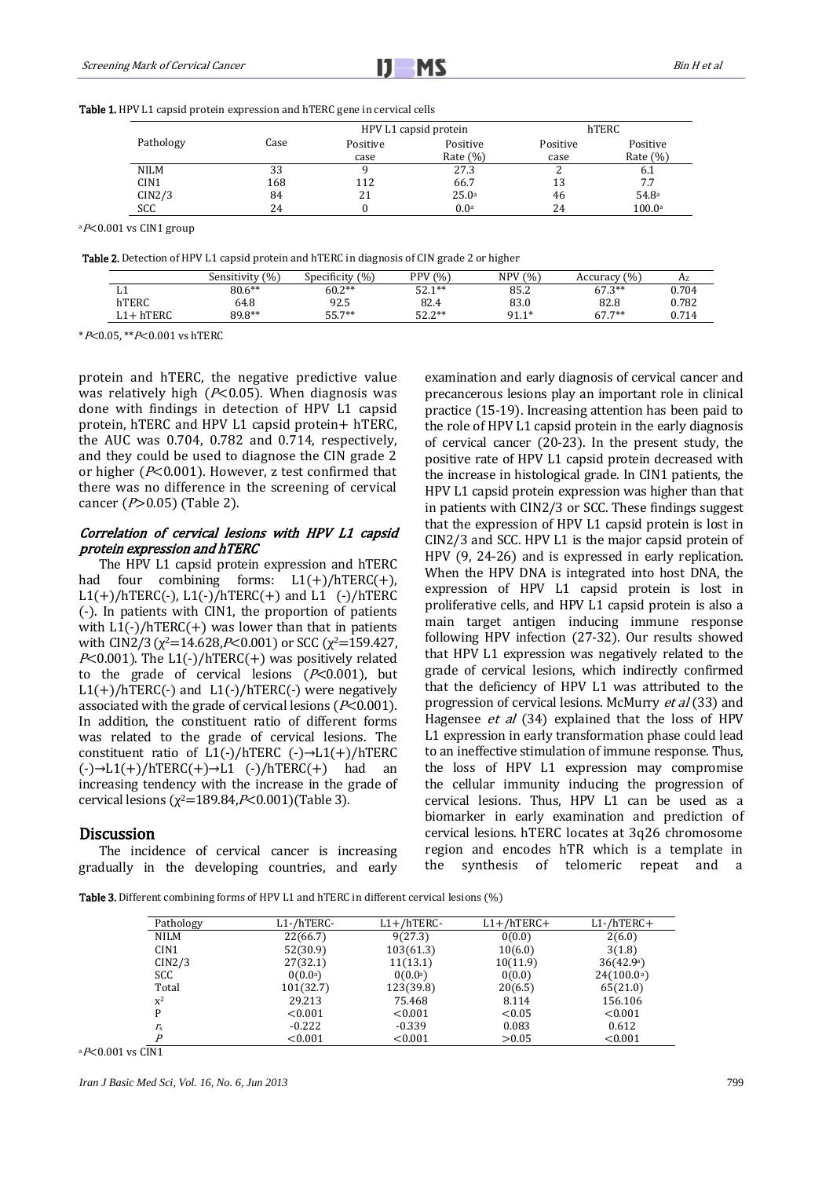|  |  |  |  |  |  |  | <b>Table 1.</b> HPV L1 capsid protein expression and hTERC gene in cervical cells |
|--|--|--|--|--|--|--|-----------------------------------------------------------------------------------|
|--|--|--|--|--|--|--|-----------------------------------------------------------------------------------|

|                  |      |          | HPV L1 capsid protein | hTERC    |              |  |
|------------------|------|----------|-----------------------|----------|--------------|--|
| Pathology        | Case | Positive | Positive              | Positive | Positive     |  |
|                  |      | case     | Rate $(\% )$          | case     | Rate $(\% )$ |  |
| <b>NILM</b>      | 33   |          | 27.3                  |          | 6.1          |  |
| CIN <sub>1</sub> | 168  | 112      | 66.7                  | 13       | 7.7          |  |
| CIN2/3           | 84   | 21       | 25.0a                 | 46       | 54.8a        |  |
| SCC              | 24   |          | 0.0 <sup>a</sup>      | 24       | 100.0a       |  |

 $aP<0.001$  vs CIN1 group

Table 2. Detection of HPV L1 capsid protein and hTERC in diagnosis of CIN grade 2 or higher

|            | Sensitivity (%) | Specificity $(\%)$ | PPV (%)         | (0/0)<br><b>NPV</b> | Accuracy $(\% )$ | Az    |
|------------|-----------------|--------------------|-----------------|---------------------|------------------|-------|
| ыı         | $80.6**$        | $60.2**$           | $52.1**$        | 85.2                | $67.3***$        | 0.704 |
| hTERC      | 64.8            | 92.5               | 82.4            | 83.0                | 82.8             | 0.782 |
| $L1+hTERC$ | 89.8**          | 55.7**             | につ つ**<br>J 4.4 | $91.1*$             | $67.7**$         | 0.714 |

\*P<0.05, \*\*P<0.001 vs hTERC

protein and hTERC, the negative predictive value was relatively high ( $P<0.05$ ). When diagnosis was done with findings in detection of HPV L1 capsid protein, hTERC and HPV L1 capsid protein+ hTERC, the AUC was 0.704, 0.782 and 0.714, respectively, and they could be used to diagnose the CIN grade 2 or higher ( $P<0.001$ ). However, z test confirmed that there was no difference in the screening of cervical cancer  $(P>0.05)$  (Table 2).

#### Correlation of cervical lesions with HPV L1 capsid protein expression and hTERC

The HPV L1 capsid protein expression and hTERC had four combining forms:  $L1(+)/hTERC(+)$ ,  $L1(+)/hTERC(-)$ ,  $L1(-)/hTERC(+)$  and  $L1$  (-)/hTERC (-). In patients with CIN1, the proportion of patients with  $L1(-)/hTERC(+)$  was lower than that in patients with CIN2/3( $\chi^2$ =14.628,P<0.001) or SCC ( $\chi^2$ =159.427,  $P<0.001$ ). The L1(-)/hTERC(+) was positively related to the grade of cervical lesions ( $P<0.001$ ), but  $L1(+)/hTERC(-)$  and  $L1(-)/hTERC(-)$  were negatively associated with the grade of cervical lesions ( $P<0.001$ ). In addition, the constituent ratio of different forms was related to the grade of cervical lesions. The constituent ratio of  $L1(-)/hTERC$  (-) $\rightarrow L1(+)/hTERC$  $(-)$  → L1(+)/hTERC(+) → L1 (-)/hTERC(+) had an increasing tendency with the increase in the grade of cervical lesions ( $\chi^2$ =189.84,P<0.001)(Table 3).

#### **Discussion**

The incidence of cervical cancer is increasing gradually in the developing countries, and early examination and early diagnosis of cervical cancer and precancerous lesions play an important role in clinical practice (15-19). Increasing attention has been paid to the role of HPV L1 capsid protein in the early diagnosis of cervical cancer (20-23). In the present study, the positive rate of HPV L1 capsid protein decreased with the increase in histological grade. In CIN1 patients, the HPV L1 capsid protein expression was higher than that in patients with CIN2/3 or SCC. These findings suggest that the expression of HPV L1 capsid protein is lost in CIN2/3 and SCC. HPV L1 is the major capsid protein of HPV (9, 24-26) and is expressed in early replication. When the HPV DNA is integrated into host DNA, the expression of HPV L1 capsid protein is lost in proliferative cells, and HPV L1 capsid protein is also a main target antigen inducing immune response following HPV infection (27-32). Our results showed that HPV L1 expression was negatively related to the grade of cervical lesions, which indirectly confirmed that the deficiency of HPV L1 was attributed to the progression of cervical lesions. McMurry et al (33) and Hagensee et al (34) explained that the loss of HPV L1 expression in early transformation phase could lead to an ineffective stimulation of immune response. Thus, the loss of HPV L1 expression may compromise the cellular immunity inducing the progression of cervical lesions. Thus, HPV L1 can be used as a biomarker in early examination and prediction of cervical lesions. hTERC locates at 3q26 chromosome region and encodes hTR which is a template in the synthesis of telomeric repeat and a

Table 3. Different combining forms of HPV L1 and hTERC in different cervical lesions (%)

| Pathology        | L1-/hTERC-       | $L1+/hTERC-$     | $L1+/hTERC+$ | $L1$ -/hTERC+       |
|------------------|------------------|------------------|--------------|---------------------|
| <b>NILM</b>      | 22(66.7)         | 9(27.3)          | 0(0.0)       | 2(6.0)              |
| CIN <sub>1</sub> | 52(30.9)         | 103(61.3)        | 10(6.0)      | 3(1.8)              |
| CIN2/3           | 27(32.1)         | 11(13.1)         | 10(11.9)     | 36(42.9)            |
| SCC              | $0(0.0^{\circ})$ | $0(0.0^{\circ})$ | 0(0.0)       | $24(100.0^{\circ})$ |
| Total            | 101(32.7)        | 123(39.8)        | 20(6.5)      | 65(21.0)            |
| $x^2$            | 29.213           | 75.468           | 8.114        | 156.106             |
| P                | < 0.001          | < 0.001          | < 0.05       | < 0.001             |
| $r_{\rm s}$      | $-0.222$         | $-0.339$         | 0.083        | 0.612               |
| D                | < 0.001          | < 0.001          | >0.05        | < 0.001             |

 $aP<0.001$  vs CIN1

*Iran J Basic Med Sci, Vol. 16, No. 6, Jun 2013* 799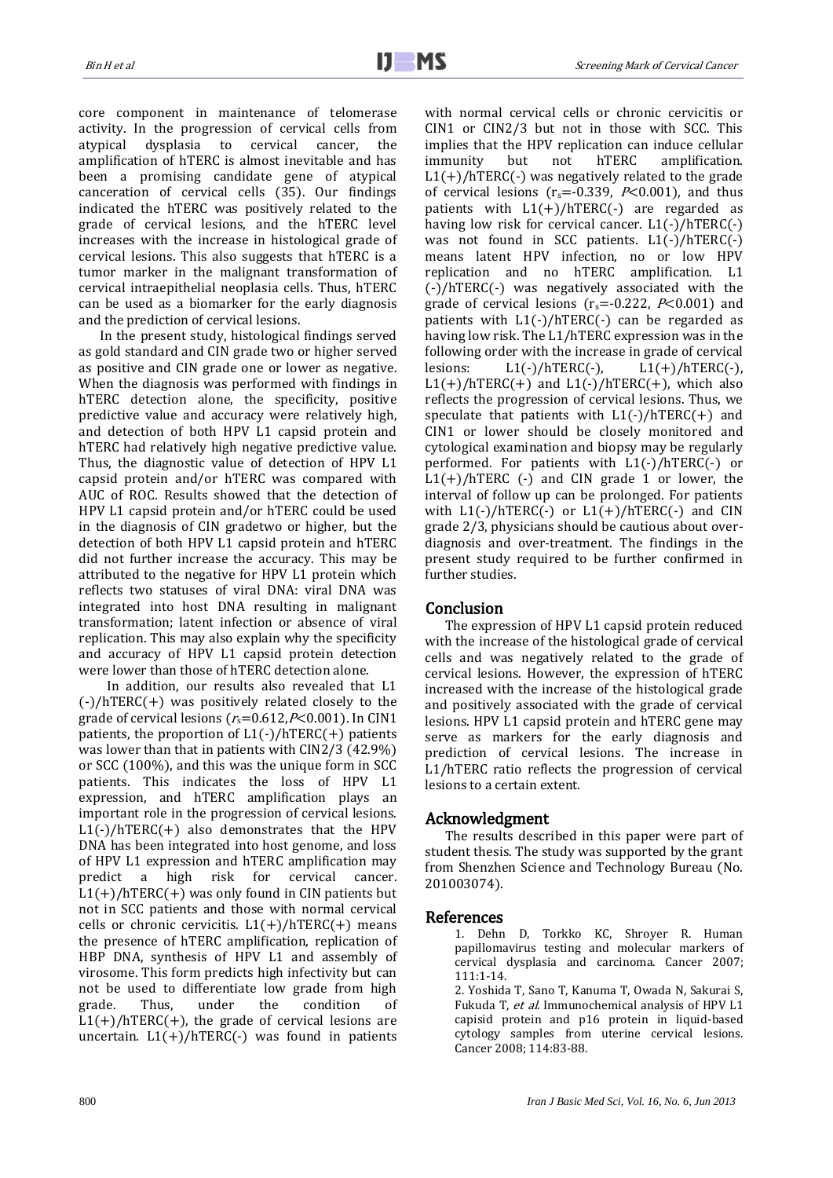core component in maintenance of telomerase activity. In the progression of cervical cells from atypical dysplasia to cervical cancer, the amplification of hTERC is almost inevitable and has been a promising candidate gene of atypical canceration of cervical cells (35). Our findings indicated the hTERC was positively related to the grade of cervical lesions, and the hTERC level increases with the increase in histological grade of cervical lesions. This also suggests that hTERC is a tumor marker in the malignant transformation of cervical intraepithelial neoplasia cells. Thus, hTERC can be used as a biomarker for the early diagnosis and the prediction of cervical lesions.

In the present study, histological findings served as gold standard and CIN grade two or higher served as positive and CIN grade one or lower as negative. When the diagnosis was performed with findings in hTERC detection alone, the specificity, positive predictive value and accuracy were relatively high, and detection of both HPV L1 capsid protein and hTERC had relatively high negative predictive value. Thus, the diagnostic value of detection of HPV L1 capsid protein and/or hTERC was compared with AUC of ROC. Results showed that the detection of HPV L1 capsid protein and/or hTERC could be used in the diagnosis of CIN gradetwo or higher, but the detection of both HPV L1 capsid protein and hTERC did not further increase the accuracy. This may be attributed to the negative for HPV L1 protein which reflects two statuses of viral DNA: viral DNA was integrated into host DNA resulting in malignant transformation; latent infection or absence of viral replication. This may also explain why the specificity and accuracy of HPV L1 capsid protein detection were lower than those of hTERC detection alone.

In addition, our results also revealed that L1  $(-)/hTERC(+)$  was positively related closely to the grade of cervical lesions ( $r_s$ =0.612, $P$ <0.001). In CIN1 patients, the proportion of  $L1(-)/hTERC(+)$  patients was lower than that in patients with CIN2/3 (42.9%) or SCC (100%), and this was the unique form in SCC patients. This indicates the loss of HPV L1 expression, and hTERC amplification plays an important role in the progression of cervical lesions.  $L1(-)/hTERC(+)$  also demonstrates that the HPV DNA has been integrated into host genome, and loss of HPV L1 expression and hTERC amplification may predict a high risk for cervical cancer.  $L1(+)/hTERC(+)$  was only found in CIN patients but not in SCC patients and those with normal cervical cells or chronic cervicitis.  $L1(+)/hTERC(+)$  means the presence of hTERC amplification, replication of HBP DNA, synthesis of HPV L1 and assembly of virosome. This form predicts high infectivity but can not be used to differentiate low grade from high grade. Thus, under the condition of  $L1(+)/hTERC(+)$ , the grade of cervical lesions are uncertain.  $L1(+)/hTERC(-)$  was found in patients with normal cervical cells or chronic cervicitis or CIN1 or CIN2/3 but not in those with SCC. This implies that the HPV replication can induce cellular immunity but not hTERC amplification.  $L1(+)/hTERC(-)$  was negatively related to the grade of cervical lesions ( $r_s = -0.339$ ,  $P < 0.001$ ), and thus patients with  $L1(+)/hTERC(-)$  are regarded as having low risk for cervical cancer. L1(-)/hTERC(-) was not found in SCC patients. L1(-)/hTERC(-) means latent HPV infection, no or low HPV replication and no hTERC amplification. L1 (-)/hTERC(-) was negatively associated with the grade of cervical lesions ( $r_s$ =-0.222,  $P$ <0.001) and patients with L1(-)/hTERC(-) can be regarded as having low risk. The L1/hTERC expression was in the following order with the increase in grade of cervical lesions:  $L1(-)/hTERC(-),$   $L1(+)/hTERC(-),$  $L1(+)/hTERC(+)$  and  $L1(-)/hTERC(+)$ , which also reflects the progression of cervical lesions. Thus, we speculate that patients with  $L1(-)/hTERC(+)$  and CIN1 or lower should be closely monitored and cytological examination and biopsy may be regularly performed. For patients with L1(-)/hTERC(-) or  $L1(+)/hTERC$  (-) and CIN grade 1 or lower, the interval of follow up can be prolonged. For patients with  $L1(-)/hTERC(-)$  or  $L1(+)/hTERC(-)$  and CIN grade 2/3, physicians should be cautious about overdiagnosis and over-treatment. The findings in the present study required to be further confirmed in further studies.

## Conclusion

The expression of HPV L1 capsid protein reduced with the increase of the histological grade of cervical cells and was negatively related to the grade of cervical lesions. However, the expression of hTERC increased with the increase of the histological grade and positively associated with the grade of cervical lesions. HPV L1 capsid protein and hTERC gene may serve as markers for the early diagnosis and prediction of cervical lesions. The increase in L1/hTERC ratio reflects the progression of cervical lesions to a certain extent.

#### Acknowledgment

The results described in this paper were part of student thesis. The study was supported by the grant from Shenzhen Science and Technology Bureau (No. 201003074).

#### References

1. Dehn D, Torkko KC, Shroyer R. Human papillomavirus testing and molecular markers of cervical dysplasia and carcinoma. Cancer 2007; 111:1-14.

2. Yoshida T, Sano T, Kanuma T, Owada N, Sakurai S, Fukuda T, et al. Immunochemical analysis of HPV L1 capisid protein and p16 protein in liquid-based cytology samples from uterine cervical lesions. Cancer 2008; 114:83-88.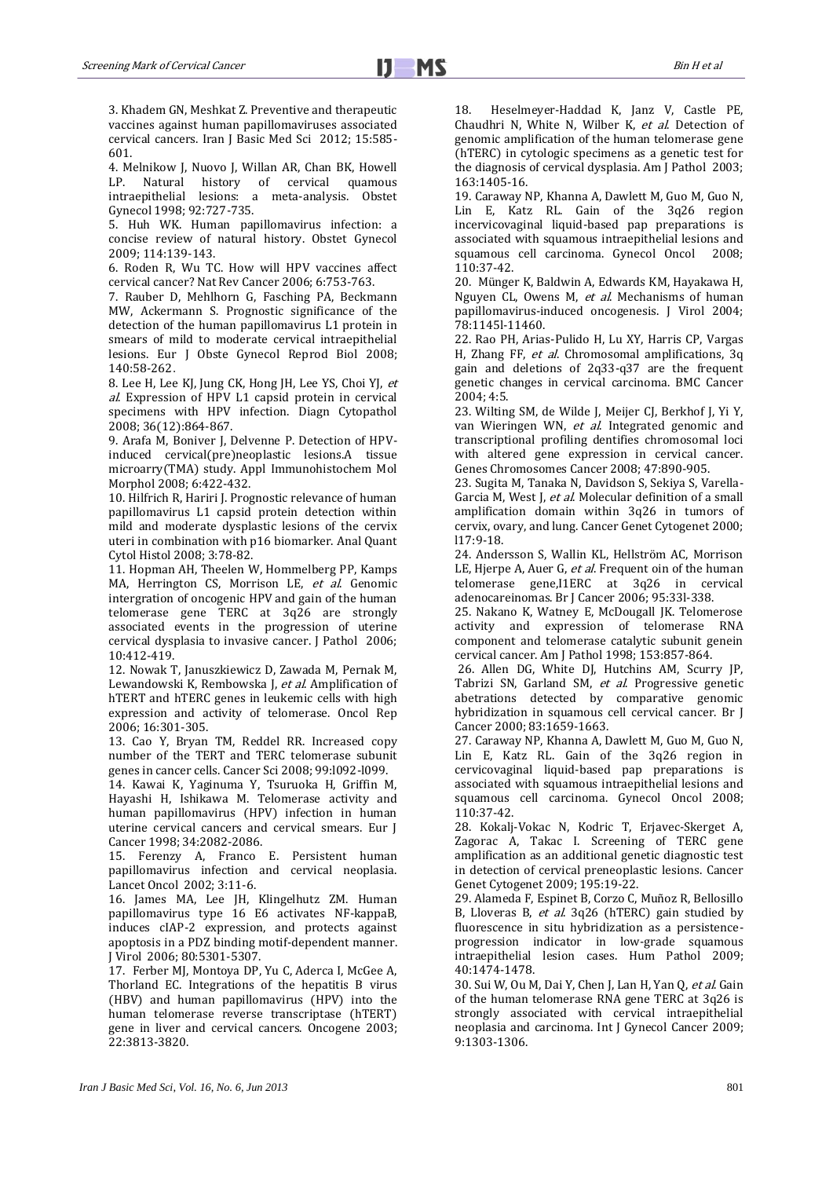3. Khadem GN, Meshkat Z. Preventive and therapeutic vaccines against human papillomaviruses associated cervical cancers. Iran J Basic Med Sci 2012; 15:585- 601.

4. Melnikow J, Nuovo J, Willan AR, Chan BK, Howell<br>LP. Natural history of cervical quamous Natural history of cervical quamous intraepithelial lesions: a meta-analysis. Obstet Gynecol 1998; 92:727-735.

5. Huh WK. Human papillomavirus infection: a concise review of natural history. Obstet Gynecol 2009; 114:139-143.

6. Roden R, Wu TC. How will HPV vaccines affect cervical cancer? Nat Rev Cancer 2006; 6:753-763.

7. Rauber D, Mehlhorn G, Fasching PA, Beckmann MW, Ackermann S. Prognostic significance of the detection of the human papillomavirus L1 protein in smears of mild to moderate cervical intraepithelial lesions. Eur J Obste Gynecol Reprod Biol 2008; 140:58-262.

8. Lee H, Lee KJ, Jung CK, Hong JH, Lee YS, Choi YJ, et al. Expression of HPV L1 capsid protein in cervical specimens with HPV infection. Diagn Cytopathol 2008; 36(12):864-867.

9. Arafa M, Boniver J, Delvenne P. Detection of HPVinduced cervical(pre)neoplastic lesions.A tissue microarry(TMA) study. Appl Immunohistochem Mol Morphol 2008; 6:422-432.

10. Hilfrich R, Hariri J. Prognostic relevance of human papillomavirus L1 capsid protein detection within mild and moderate dysplastic lesions of the cervix uteri in combination with p16 biomarker. Anal Quant Cytol Histol 2008; 3:78-82.

11. Hopman AH, Theelen W, Hommelberg PP, Kamps MA, Herrington CS, Morrison LE, et al. Genomic intergration of oncogenic HPV and gain of the human telomerase gene TERC at 3q26 are strongly associated events in the progression of uterine cervical dysplasia to invasive cancer. J Pathol 2006; 10:412-419.

12. Nowak T, Januszkiewicz D, Zawada M, Pernak M, Lewandowski K, Rembowska J, et al. Amplification of hTERT and hTERC genes in leukemic cells with high expression and activity of telomerase. Oncol Rep 2006; 16:301-305.

13. Cao Y, Bryan TM, Reddel RR. Increased copy number of the TERT and TERC telomerase subunit genes in cancer cells. Cancer Sci 2008; 99:l092-l099.

14. Kawai K, Yaginuma Y, Tsuruoka H, Griffin M, Hayashi H, Ishikawa M. Telomerase activity and human papillomavirus (HPV) infection in human uterine cervical cancers and cervical smears. Eur J Cancer 1998; 34:2082-2086.

15. Ferenzy A, Franco E. Persistent human papillomavirus infection and cervical neoplasia. Lancet Oncol 2002; 3:11-6.

16. James MA, Lee JH, Klingelhutz ZM. Human papillomavirus type 16 E6 activates NF-kappaB, induces cIAP-2 expression, and protects against apoptosis in a PDZ binding motif-dependent manner. J Virol 2006; 80:5301-5307.

17. Ferber MJ, Montoya DP, Yu C, Aderca I, McGee A, Thorland EC. Integrations of the hepatitis B virus (HBV) and human papillomavirus (HPV) into the human telomerase reverse transcriptase (hTERT) gene in liver and cervical cancers. Oncogene 2003; 22:3813-3820.

18. Heselmeyer-Haddad K, Janz V, Castle PE, Chaudhri N, White N, Wilber K, et al. Detection of genomic amplification of the human telomerase gene (hTERC) in cytologic specimens as a genetic test for the diagnosis of cervical dysplasia. Am J Pathol 2003; 163:1405-16.

19. Caraway NP, Khanna A, Dawlett M, Guo M, Guo N, Lin E, Katz RL. Gain of the 3q26 region incervicovaginal liquid-based pap preparations is associated with squamous intraepithelial lesions and squamous cell carcinoma. Gynecol Oncol 2008; 110:37-42.

20. Münger K, Baldwin A, Edwards KM, Hayakawa H, Nguyen CL, Owens M, et al. Mechanisms of human papillomavirus-induced oncogenesis. J Virol 2004; 78:1145l-11460.

22. Rao PH, Arias-Pulido H, Lu XY, Harris CP, Vargas H, Zhang FF, et al. Chromosomal amplifications, 3q gain and deletions of 2q33-q37 are the frequent genetic changes in cervical carcinoma. BMC Cancer 2004; 4:5.

23. Wilting SM, de Wilde J, Meijer CJ, Berkhof J, Yi Y, van Wieringen WN, et al. Integrated genomic and transcriptional profiling dentifies chromosomal loci with altered gene expression in cervical cancer. Genes Chromosomes Cancer 2008; 47:890-905.

23. Sugita M, Tanaka N, Davidson S, Sekiya S, Varella-Garcia M, West J, et al. Molecular definition of a small amplification domain within 3q26 in tumors of cervix, ovary, and lung. Cancer Genet Cytogenet 2000; l17:9-18.

24. Andersson S, Wallin KL, Hellström AC, Morrison LE, Hjerpe A, Auer G, et al. Frequent oin of the human telomerase gene,I1ERC at 3q26 in cervical adenocareinomas. Br J Cancer 2006; 95:33l-338.

25. Nakano K, Watney E, McDougall JK. Telomerose activity and expression of telomerase RNA component and telomerase catalytic subunit genein cervical cancer. Am J Pathol 1998; 153:857-864.

26. Allen DG, White DJ, Hutchins AM, Scurry JP, Tabrizi SN, Garland SM, et al. Progressive genetic abetrations detected by comparative genomic hybridization in squamous cell cervical cancer. Br J Cancer 2000; 83:1659-1663.

27. Caraway NP, Khanna A, Dawlett M, Guo M, Guo N, Lin E, Katz RL. Gain of the 3q26 region in cervicovaginal liquid-based pap preparations is associated with squamous intraepithelial lesions and squamous cell carcinoma. Gynecol Oncol 2008; 110:37-42.

28. Kokalj-Vokac N, Kodric T, Erjavec-Skerget A, Zagorac A, Takac I. Screening of TERC gene amplification as an additional genetic diagnostic test in detection of cervical preneoplastic lesions. Cancer Genet Cytogenet 2009; 195:19-22.

29. Alameda F, Espinet B, Corzo C, Muñoz R, Bellosillo B, Lloveras B, et al. 3q26 (hTERC) gain studied by fluorescence in situ hybridization as a persistenceprogression indicator in low-grade squamous intraepithelial lesion cases. Hum Pathol 2009; 40:1474-1478.

30. Sui W, Ou M, Dai Y, Chen J, Lan H, Yan Q, et al. Gain of the human telomerase RNA gene TERC at 3q26 is strongly associated with cervical intraepithelial neoplasia and carcinoma. Int J Gynecol Cancer 2009; 9:1303-1306.